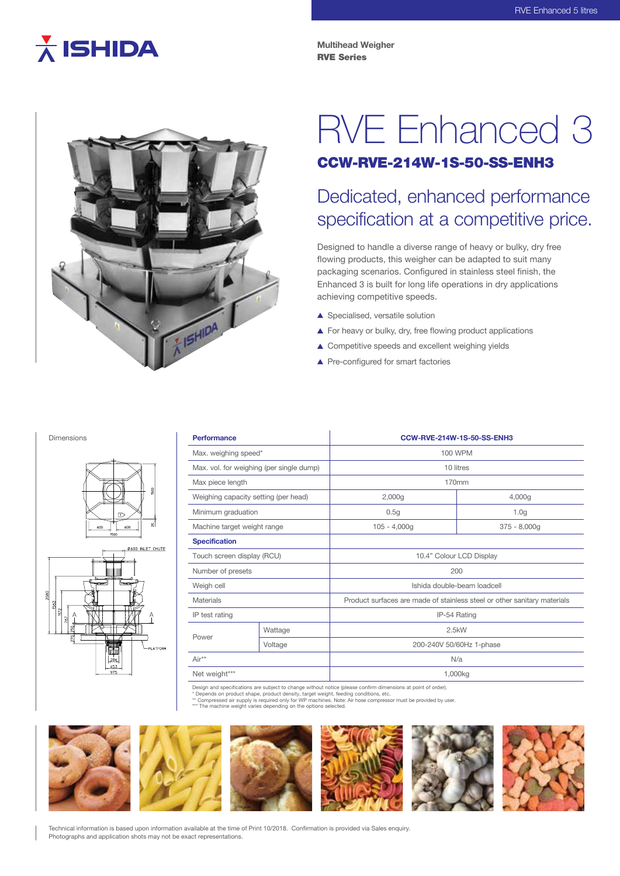# $\overline{\lambda}$  ISHIDA

**Multihead Weigher** RVE Series



## RVE Enhanced 3 CCW-RVE-214W-1S-50-SS-ENH3

### Dedicated, enhanced performance specification at a competitive price.

Designed to handle a diverse range of heavy or bulky, dry free flowing products, this weigher can be adapted to suit many packaging scenarios. Configured in stainless steel finish, the Enhanced 3 is built for long life operations in dry applications achieving competitive speeds.

- ▲ Specialised, versatile solution
- ▲ For heavy or bulky, dry, free flowing product applications
- ▲ Competitive speeds and excellent weighing yields
- ▲ Pre-configured for smart factories

#### Dimensions





| <b>Performance</b>                       |         | CCW-RVE-214W-1S-50-SS-ENH3                                               |                  |
|------------------------------------------|---------|--------------------------------------------------------------------------|------------------|
| Max. weighing speed*                     |         | 100 WPM                                                                  |                  |
| Max. vol. for weighing (per single dump) |         | 10 litres                                                                |                  |
| Max piece length                         |         | 170mm                                                                    |                  |
| Weighing capacity setting (per head)     |         | 2,000g                                                                   | 4,000g           |
| Minimum graduation                       |         | 0.5g                                                                     | 1.0 <sub>g</sub> |
| Machine target weight range              |         | $105 - 4,000g$                                                           | $375 - 8,000g$   |
| <b>Specification</b>                     |         |                                                                          |                  |
| Touch screen display (RCU)               |         | 10.4" Colour LCD Display                                                 |                  |
| Number of presets                        |         | 200                                                                      |                  |
| Weigh cell                               |         | Ishida double-beam loadcell                                              |                  |
| <b>Materials</b>                         |         | Product surfaces are made of stainless steel or other sanitary materials |                  |
| IP test rating                           |         | IP-54 Rating                                                             |                  |
|                                          | Wattage | 2.5kW                                                                    |                  |
| Power                                    | Voltage | 200-240V 50/60Hz 1-phase                                                 |                  |
| Air**                                    |         | N/a                                                                      |                  |
| Net weight***                            |         | 1,000kg                                                                  |                  |

Design and specifications are subject to change without notice (please confirm dimensions at point of order).

\* Depends on product shape, product density, target weight, feeding conditions, etc.<br>\*\* Compressed air supply is required only for WP machines. Note: Air hose compressor must be provided by user.<br>\*\*\* The machine weight var



Technical information is based upon information available at the time of Print 10/2018. Confirmation is provided via Sales enquiry. Photographs and application shots may not be exact representations.